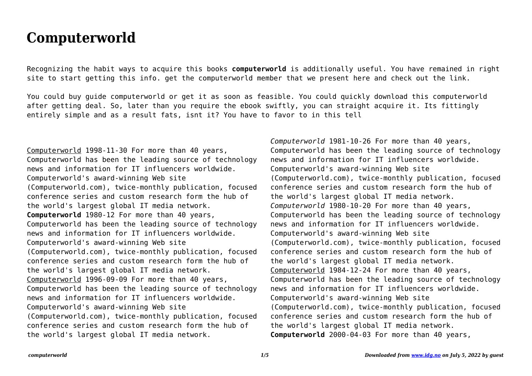## **Computerworld**

Recognizing the habit ways to acquire this books **computerworld** is additionally useful. You have remained in right site to start getting this info. get the computerworld member that we present here and check out the link.

You could buy guide computerworld or get it as soon as feasible. You could quickly download this computerworld after getting deal. So, later than you require the ebook swiftly, you can straight acquire it. Its fittingly entirely simple and as a result fats, isnt it? You have to favor to in this tell

Computerworld 1998-11-30 For more than 40 years, Computerworld has been the leading source of technology news and information for IT influencers worldwide. Computerworld's award-winning Web site (Computerworld.com), twice-monthly publication, focused conference series and custom research form the hub of the world's largest global IT media network. **Computerworld** 1980-12 For more than 40 years, Computerworld has been the leading source of technology news and information for IT influencers worldwide. Computerworld's award-winning Web site (Computerworld.com), twice-monthly publication, focused conference series and custom research form the hub of the world's largest global IT media network. Computerworld 1996-09-09 For more than 40 years, Computerworld has been the leading source of technology news and information for IT influencers worldwide. Computerworld's award-winning Web site (Computerworld.com), twice-monthly publication, focused conference series and custom research form the hub of the world's largest global IT media network.

*Computerworld* 1981-10-26 For more than 40 years, Computerworld has been the leading source of technology news and information for IT influencers worldwide. Computerworld's award-winning Web site (Computerworld.com), twice-monthly publication, focused conference series and custom research form the hub of the world's largest global IT media network. *Computerworld* 1980-10-20 For more than 40 years, Computerworld has been the leading source of technology news and information for IT influencers worldwide. Computerworld's award-winning Web site (Computerworld.com), twice-monthly publication, focused conference series and custom research form the hub of the world's largest global IT media network. Computerworld 1984-12-24 For more than 40 years, Computerworld has been the leading source of technology news and information for IT influencers worldwide. Computerworld's award-winning Web site (Computerworld.com), twice-monthly publication, focused conference series and custom research form the hub of the world's largest global IT media network. **Computerworld** 2000-04-03 For more than 40 years,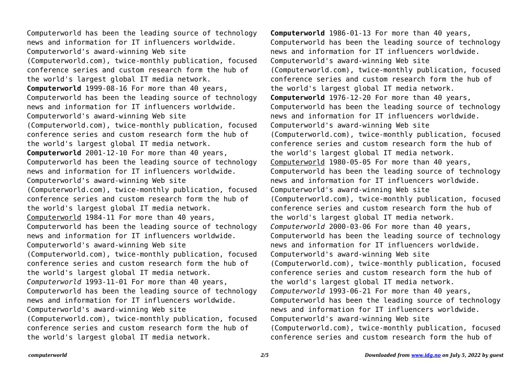Computerworld has been the leading source of technology news and information for IT influencers worldwide. Computerworld's award-winning Web site (Computerworld.com), twice-monthly publication, focused conference series and custom research form the hub of the world's largest global IT media network. **Computerworld** 1999-08-16 For more than 40 years, Computerworld has been the leading source of technology news and information for IT influencers worldwide. Computerworld's award-winning Web site (Computerworld.com), twice-monthly publication, focused conference series and custom research form the hub of the world's largest global IT media network. **Computerworld** 2001-12-10 For more than 40 years, Computerworld has been the leading source of technology news and information for IT influencers worldwide. Computerworld's award-winning Web site (Computerworld.com), twice-monthly publication, focused conference series and custom research form the hub of the world's largest global IT media network. Computerworld 1984-11 For more than 40 years, Computerworld has been the leading source of technology news and information for IT influencers worldwide. Computerworld's award-winning Web site (Computerworld.com), twice-monthly publication, focused conference series and custom research form the hub of the world's largest global IT media network. *Computerworld* 1993-11-01 For more than 40 years, Computerworld has been the leading source of technology news and information for IT influencers worldwide. Computerworld's award-winning Web site (Computerworld.com), twice-monthly publication, focused conference series and custom research form the hub of the world's largest global IT media network.

**Computerworld** 1986-01-13 For more than 40 years, Computerworld has been the leading source of technology news and information for IT influencers worldwide. Computerworld's award-winning Web site (Computerworld.com), twice-monthly publication, focused conference series and custom research form the hub of the world's largest global IT media network. **Computerworld** 1976-12-20 For more than 40 years, Computerworld has been the leading source of technology news and information for IT influencers worldwide. Computerworld's award-winning Web site (Computerworld.com), twice-monthly publication, focused conference series and custom research form the hub of the world's largest global IT media network. Computerworld 1980-05-05 For more than 40 years, Computerworld has been the leading source of technology news and information for IT influencers worldwide. Computerworld's award-winning Web site (Computerworld.com), twice-monthly publication, focused conference series and custom research form the hub of the world's largest global IT media network. *Computerworld* 2000-03-06 For more than 40 years, Computerworld has been the leading source of technology news and information for IT influencers worldwide. Computerworld's award-winning Web site (Computerworld.com), twice-monthly publication, focused conference series and custom research form the hub of the world's largest global IT media network. *Computerworld* 1993-06-21 For more than 40 years, Computerworld has been the leading source of technology news and information for IT influencers worldwide. Computerworld's award-winning Web site (Computerworld.com), twice-monthly publication, focused conference series and custom research form the hub of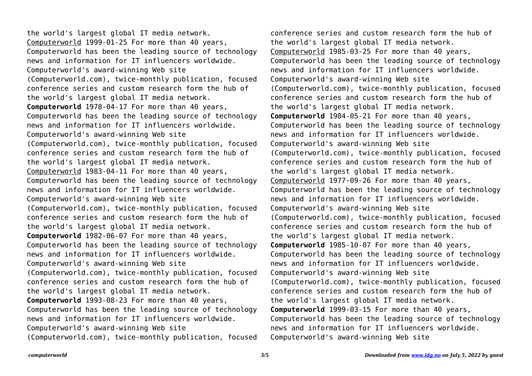the world's largest global IT media network. Computerworld 1999-01-25 For more than 40 years, Computerworld has been the leading source of technology news and information for IT influencers worldwide. Computerworld's award-winning Web site (Computerworld.com), twice-monthly publication, focused conference series and custom research form the hub of the world's largest global IT media network. **Computerworld** 1978-04-17 For more than 40 years, Computerworld has been the leading source of technology news and information for IT influencers worldwide. Computerworld's award-winning Web site (Computerworld.com), twice-monthly publication, focused conference series and custom research form the hub of the world's largest global IT media network. Computerworld 1983-04-11 For more than 40 years, Computerworld has been the leading source of technology news and information for IT influencers worldwide. Computerworld's award-winning Web site (Computerworld.com), twice-monthly publication, focused conference series and custom research form the hub of the world's largest global IT media network. **Computerworld** 1982-06-07 For more than 40 years, Computerworld has been the leading source of technology news and information for IT influencers worldwide. Computerworld's award-winning Web site (Computerworld.com), twice-monthly publication, focused conference series and custom research form the hub of the world's largest global IT media network. **Computerworld** 1993-08-23 For more than 40 years, Computerworld has been the leading source of technology news and information for IT influencers worldwide. Computerworld's award-winning Web site (Computerworld.com), twice-monthly publication, focused

conference series and custom research form the hub of the world's largest global IT media network. Computerworld 1985-03-25 For more than 40 years, Computerworld has been the leading source of technology news and information for IT influencers worldwide. Computerworld's award-winning Web site (Computerworld.com), twice-monthly publication, focused conference series and custom research form the hub of the world's largest global IT media network. **Computerworld** 1984-05-21 For more than 40 years, Computerworld has been the leading source of technology news and information for IT influencers worldwide. Computerworld's award-winning Web site (Computerworld.com), twice-monthly publication, focused conference series and custom research form the hub of the world's largest global IT media network. Computerworld 1977-09-26 For more than 40 years, Computerworld has been the leading source of technology news and information for IT influencers worldwide. Computerworld's award-winning Web site (Computerworld.com), twice-monthly publication, focused conference series and custom research form the hub of the world's largest global IT media network. **Computerworld** 1985-10-07 For more than 40 years, Computerworld has been the leading source of technology news and information for IT influencers worldwide. Computerworld's award-winning Web site (Computerworld.com), twice-monthly publication, focused conference series and custom research form the hub of the world's largest global IT media network. **Computerworld** 1999-03-15 For more than 40 years, Computerworld has been the leading source of technology news and information for IT influencers worldwide. Computerworld's award-winning Web site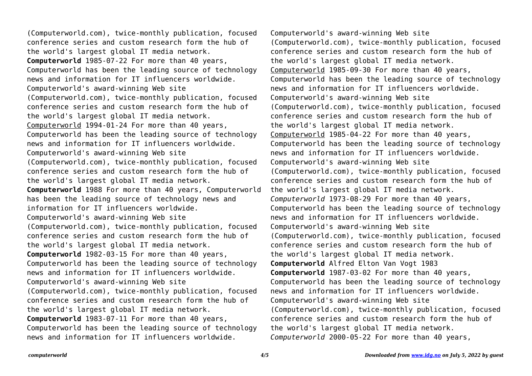(Computerworld.com), twice-monthly publication, focused conference series and custom research form the hub of the world's largest global IT media network. **Computerworld** 1985-07-22 For more than 40 years, Computerworld has been the leading source of technology news and information for IT influencers worldwide. Computerworld's award-winning Web site (Computerworld.com), twice-monthly publication, focused conference series and custom research form the hub of the world's largest global IT media network. Computerworld 1994-01-24 For more than 40 years, Computerworld has been the leading source of technology news and information for IT influencers worldwide. Computerworld's award-winning Web site (Computerworld.com), twice-monthly publication, focused conference series and custom research form the hub of the world's largest global IT media network. **Computerworld** 1988 For more than 40 years, Computerworld has been the leading source of technology news and information for IT influencers worldwide. Computerworld's award-winning Web site (Computerworld.com), twice-monthly publication, focused conference series and custom research form the hub of the world's largest global IT media network. **Computerworld** 1982-03-15 For more than 40 years, Computerworld has been the leading source of technology news and information for IT influencers worldwide. Computerworld's award-winning Web site (Computerworld.com), twice-monthly publication, focused conference series and custom research form the hub of the world's largest global IT media network. **Computerworld** 1983-07-11 For more than 40 years, Computerworld has been the leading source of technology news and information for IT influencers worldwide.

Computerworld's award-winning Web site (Computerworld.com), twice-monthly publication, focused conference series and custom research form the hub of the world's largest global IT media network. Computerworld 1985-09-30 For more than 40 years, Computerworld has been the leading source of technology news and information for IT influencers worldwide. Computerworld's award-winning Web site (Computerworld.com), twice-monthly publication, focused conference series and custom research form the hub of the world's largest global IT media network. Computerworld 1985-04-22 For more than 40 years, Computerworld has been the leading source of technology news and information for IT influencers worldwide. Computerworld's award-winning Web site (Computerworld.com), twice-monthly publication, focused conference series and custom research form the hub of the world's largest global IT media network. *Computerworld* 1973-08-29 For more than 40 years, Computerworld has been the leading source of technology news and information for IT influencers worldwide. Computerworld's award-winning Web site (Computerworld.com), twice-monthly publication, focused conference series and custom research form the hub of the world's largest global IT media network. **Computerworld** Alfred Elton Van Vogt 1983 **Computerworld** 1987-03-02 For more than 40 years, Computerworld has been the leading source of technology news and information for IT influencers worldwide. Computerworld's award-winning Web site (Computerworld.com), twice-monthly publication, focused conference series and custom research form the hub of the world's largest global IT media network. *Computerworld* 2000-05-22 For more than 40 years,